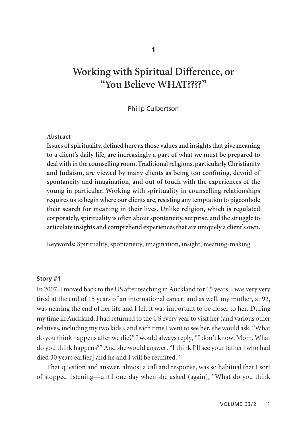**1**

# **Working with Spiritual Difference, or "You Believe WHAT????"**

#### Philip Culbertson

#### **Abstract**

**Issues of spirituality, defined here as those values and insights that give meaning to a client's daily life, are increasingly a part of what we must be prepared to deal with in the counselling room. Traditional religions, particularly Christianity and Judaism, are viewed by many clients as being too confining, devoid of spontaneity and imagination, and out of touch with the experiences of the young in particular. Working with spirituality in counselling relationships requires us to begin where our clients are, resisting any temptation to pigeonhole their search for meaning in their lives. Unlike religion, which is regulated corporately, spirituality is often about spontaneity, surprise, and the struggle to articulate insights and comprehend experiences that are uniquely a client's own.** 

**Keywords:** Spirituality, spontaneity, imagination, insight, meaning-making

#### **Story #1**

In 2007, I moved back to the US after teaching in Auckland for 15 years. I was very very tired at the end of 15 years of an international career, and as well, my mother, at 92, was nearing the end of her life and I felt it was important to be closer to her. During my time in Auckland, I had returned to the US every year to visit her (and various other relatives, including my two kids), and each time I went to see her, she would ask, "What do you think happens after we die?" I would always reply, "I don't know, Mom. What do you think happens?" And she would answer, "I think I'll see your father [who had died 30 years earlier] and he and I will be reunited."

That question and answer, almost a call and response, was so habitual that I sort of stopped listening—until one day when she asked (again), "What do you think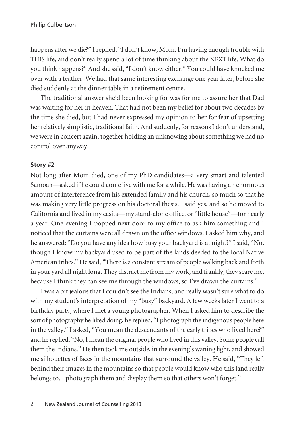happens after we die?" I replied, "I don't know, Mom. I'm having enough trouble with THIS life, and don't really spend a lot of time thinking about the NEXT life. What do you think happens?" And she said, "I don't know either." You could have knocked me over with a feather. We had that same interesting exchange one year later, before she died suddenly at the dinner table in a retirement centre.

The traditional answer she'd been looking for was for me to assure her that Dad was waiting for her in heaven. That had not been my belief for about two decades by the time she died, but I had never expressed my opinion to her for fear of upsetting her relatively simplistic, traditional faith. And suddenly, for reasons I don't understand, we were in concert again, together holding an unknowing about something we had no control over anyway.

#### **Story #2**

Not long after Mom died, one of my PhD candidates—a very smart and talented Samoan—asked if he could come live with me for a while. He was having an enormous amount of interference from his extended family and his church, so much so that he was making very little progress on his doctoral thesis. I said yes, and so he moved to California and lived in my casita—my stand-alone office, or "little house"—for nearly a year. One evening I popped next door to my office to ask him something and I noticed that the curtains were all drawn on the office windows. I asked him why, and he answered: "Do you have any idea how busy your backyard is at night?" I said, "No, though I know my backyard used to be part of the lands deeded to the local Native American tribes." He said, "There is a constant stream of people walking back and forth in your yard all night long. They distract me from my work, and frankly, they scare me, because I think they can see me through the windows, so I've drawn the curtains."

I was a bit jealous that I couldn't see the Indians, and really wasn't sure what to do with my student's interpretation of my "busy" backyard. A few weeks later I went to a birthday party, where I met a young photographer. When I asked him to describe the sort of photography he liked doing, he replied, "I photograph the indigenous people here in the valley." I asked, "You mean the descendants of the early tribes who lived here?" and he replied, "No, I mean the original people who lived in this valley. Some people call them the Indians." He then took me outside, in the evening's waning light, and showed me silhouettes of faces in the mountains that surround the valley. He said, "They left behind their images in the mountains so that people would know who this land really belongs to. I photograph them and display them so that others won't forget."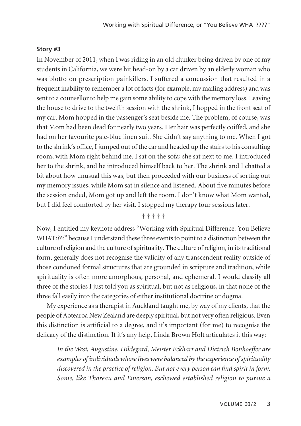## **Story #3**

In November of 2011, when I was riding in an old clunker being driven by one of my students in California, we were hit head-on by a car driven by an elderly woman who was blotto on prescription painkillers. I suffered a concussion that resulted in a frequent inability to remember a lot of facts (for example, my mailing address) and was sent to a counsellor to help me gain some ability to cope with the memory loss. Leaving the house to drive to the twelfth session with the shrink, I hopped in the front seat of my car. Mom hopped in the passenger's seat beside me. The problem, of course, was that Mom had been dead for nearly two years. Her hair was perfectly coiffed, and she had on her favourite pale-blue linen suit. She didn't say anything to me. When I got to the shrink's office, I jumped out of the car and headed up the stairs to his consulting room, with Mom right behind me. I sat on the sofa; she sat next to me. I introduced her to the shrink, and he introduced himself back to her. The shrink and I chatted a bit about how unusual this was, but then proceeded with our business of sorting out my memory issues, while Mom sat in silence and listened. About five minutes before the session ended, Mom got up and left the room. I don't know what Mom wanted, but I did feel comforted by her visit. I stopped my therapy four sessions later.

## † † † † †

Now, I entitled my keynote address "Working with Spiritual Difference: You Believe WHAT????" because I understand these three events to point to a distinction between the culture of religion and the culture of spirituality. The culture of religion, in its traditional form, generally does not recognise the validity of any transcendent reality outside of those condoned formal structures that are grounded in scripture and tradition, while spirituality is often more amorphous, personal, and ephemeral. I would classify all three of the stories I just told you as spiritual, but not as religious, in that none of the three fall easily into the categories of either institutional doctrine or dogma.

My experience as a therapist in Auckland taught me, by way of my clients, that the people of Aotearoa New Zealand are deeply spiritual, but not very often religious. Even this distinction is artificial to a degree, and it's important (for me) to recognise the delicacy of the distinction. If it's any help, Linda Brown Holt articulates it this way:

*In the West, Augustine, Hildegard, Meister Eckhart and Dietrich Bonhoeffer are examples of individuals whose lives were balanced by the experience of spirituality discovered in the practice of religion. But not every person can find spirit in form. Some, like Thoreau and Emerson, eschewed established religion to pursue a*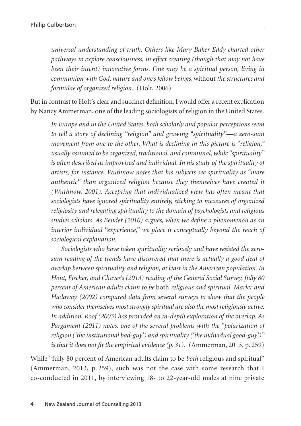*universal understanding of truth. Others like Mary Baker Eddy charted other pathways to explore consciousness, in effect creating (though that may not have been their intent) innovative forms. One may be a spiritual person, living in communion with God, nature and one's fellow beings,* without *the structures and formulae of organized religion.* (Holt, 2006)

But in contrast to Holt's clear and succinct definition, I would offer a recent explication by Nancy Ammerman, one of the leading sociologists of religion in the United States.

*In Europe and in the United States, both scholarly and popular perceptions seem to tell a story of declining "religion" and growing "spirituality"—a zero-sum movement from one to the other. What is declining in this picture is "religion," usually assumed to be organized, traditional, and communal, while "spirituality" is often described as improvised and individual. In his study of the spirituality of artists, for instance, Wuthnow notes that his subjects see spirituality as "more authentic" than organized religion because they themselves have created it (Wuthnow, 2001). Accepting that individualized view has often meant that sociologists have ignored spirituality entirely, sticking to measures of organized religiosity and relegating spirituality to the domain of psychologists and religious studies scholars. As Bender (2010) argues, when we define a phenomenon as an interior individual "experience," we place it conceptually beyond the reach of sociological explanation.*

*Sociologists who have taken spirituality seriously and have resisted the zerosum reading of the trends have discovered that there is actually a good deal of overlap between spirituality and religion, at least in the American population. In Hout, Fischer, and Chaves's (2013) reading of the General Social Survey, fully 80 percent of American adults claim to be* both *religious and spiritual. Marler and Hadaway (2002) compared data from several surveys to show that the people who consider themselves most strongly spiritual are also the most religiously active. In addition, Roof (2003) has provided an in-depth exploration of the overlap. As Pargament (2011) notes, one of the several problems with the "polarization of religion ('the institutional bad-guy') and spirituality ('the individual good-guy')" is that it does not fit the empirical evidence (p. 31).* (Ammerman, 2013, p. 259)

While "fully 80 percent of American adults claim to be *both* religious and spiritual" (Ammerman, 2013, p. 259), such was not the case with some research that I co-conducted in 2011, by interviewing 18- to 22-year-old males at nine private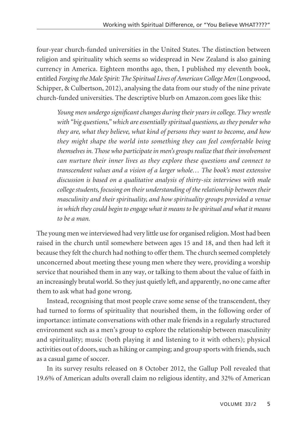four-year church-funded universities in the United States. The distinction between religion and spirituality which seems so widespread in New Zealand is also gaining currency in America. Eighteen months ago, then, I published my eleventh book, entitled *Forging the Male Spirit: The Spiritual Lives of American College Men* (Longwood, Schipper, & Culbertson, 2012), analysing the data from our study of the nine private church-funded universities. The descriptive blurb on Amazon.com goes like this:

*Young men undergo significant changes during their years in college. They wrestle with "big questions," which are essentially spiritual questions, as they ponder who they are, what they believe, what kind of persons they want to become, and how they might shape the world into something they can feel comfortable being themselves in. Those who participate in men's groups realize that their involvement can nurture their inner lives as they explore these questions and connect to transcendent values and a vision of a larger whole… The book's most extensive discussion is based on a qualitative analysis of thirty-six interviews with male college students, focusing on their understanding of the relationship between their masculinity and their spirituality, and how spirituality groups provided a venue in which they could begin to engage what it means to be spiritual and what it means to be a man.*

The young men we interviewed had very little use for organised religion. Most had been raised in the church until somewhere between ages 15 and 18, and then had left it because they felt the church had nothing to offer them. The church seemed completely unconcerned about meeting these young men where they were, providing a worship service that nourished them in any way, or talking to them about the value of faith in an increasingly brutal world. So they just quietly left, and apparently, no one came after them to ask what had gone wrong.

Instead, recognising that most people crave some sense of the transcendent, they had turned to forms of spirituality that nourished them, in the following order of importance: intimate conversations with other male friends in a regularly structured environment such as a men's group to explore the relationship between masculinity and spirituality; music (both playing it and listening to it with others); physical activities out of doors, such as hiking or camping; and group sports with friends, such as a casual game of soccer.

In its survey results released on 8 October 2012, the Gallup Poll revealed that 19.6% of American adults overall claim no religious identity, and 32% of American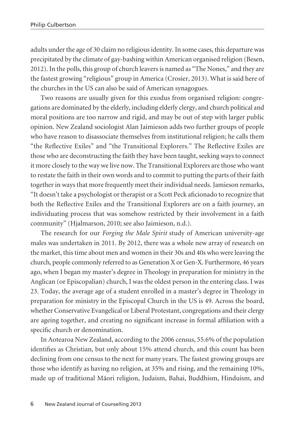adults under the age of 30 claim no religious identity. In some cases, this departure was precipitated by the climate of gay-bashing within American organised religion (Besen, 2012). In the polls, this group of church leavers is named as "The Nones," and they are the fastest growing "religious" group in America (Crosier, 2013). What is said here of the churches in the US can also be said of American synagogues.

Two reasons are usually given for this exodus from organised religion: congregations are dominated by the elderly, including elderly clergy, and church political and moral positions are too narrow and rigid, and may be out of step with larger public opinion. New Zealand sociologist Alan Jaimieson adds two further groups of people who have reason to disassociate themselves from institutional religion; he calls them "the Reflective Exiles" and "the Transitional Explorers." The Reflective Exiles are those who are deconstructing the faith they have been taught, seeking ways to connect it more closely to the way we live now. The Transitional Explorers are those who want to restate the faith in their own words and to commit to putting the parts of their faith together in ways that more frequently meet their individual needs. Jamieson remarks, "It doesn't take a psychologist or therapist or a Scott Peck aficionado to recognize that both the Reflective Exiles and the Transitional Explorers are on a faith journey, an individuating process that was somehow restricted by their involvement in a faith community" (Hjalmarson, 2010; see also Jaimieson, n.d.).

The research for our *Forging the Male Spirit* study of American university-age males was undertaken in 2011. By 2012, there was a whole new array of research on the market, this time about men and women in their 30s and 40s who were leaving the church, people commonly referred to as Generation X or Gen-X. Furthermore, 46 years ago, when I began my master's degree in Theology in preparation for ministry in the Anglican (or Episcopalian) church, I was the oldest person in the entering class. I was 23. Today, the average age of a student enrolled in a master's degree in Theology in preparation for ministry in the Episcopal Church in the US is 49. Across the board, whether Conservative Evangelical or Liberal Protestant, congregations and their clergy are ageing together, and creating no significant increase in formal affiliation with a specific church or denomination.

In Aotearoa New Zealand, according to the 2006 census, 55.6% of the population identifies as Christian, but only about 15% attend church, and this count has been declining from one census to the next for many years. The fastest growing groups are those who identify as having no religion, at 35% and rising, and the remaining 10%, made up of traditional Mäori religion, Judaism, Bahai, Buddhism, Hinduism, and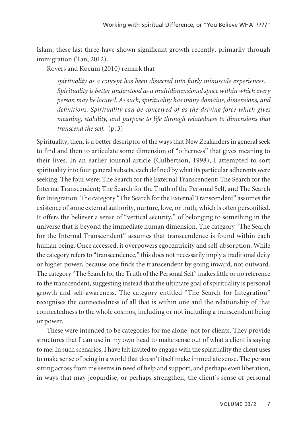Islam; these last three have shown significant growth recently, primarily through immigration (Tan, 2012).

Rovers and Kocum (2010) remark that

*spirituality as a concept has been dissected into fairly minuscule experiences… Spirituality is better understood as a multidimensional space within which every person may be located. As such, spirituality has many domains, dimensions, and definitions. Spirituality can be conceived of as the driving force which gives meaning, stability, and purpose to life through relatedness to dimensions that transcend the self.* (p. 3)

Spirituality, then, is a better descriptor of the ways that New Zealanders in general seek to find and then to articulate some dimension of "otherness" that gives meaning to their lives. In an earlier journal article (Culbertson, 1998), I attempted to sort spirituality into four general subsets, each defined by what its particular adherents were seeking. The four were: The Search for the External Transcendent; The Search for the Internal Transcendent; The Search for the Truth of the Personal Self, and The Search for Integration. The category "The Search for the External Transcendent" assumes the existence of some external authority, nurture, love, or truth, which is often personified. It offers the believer a sense of "vertical security," of belonging to something in the universe that is beyond the immediate human dimension. The category "The Search for the Internal Transcendent" assumes that transcendence is found within each human being. Once accessed, it overpowers egocentricity and self-absorption. While the category refers to "transcendence," this does not necessarily imply a traditional deity or higher power, because one finds the transcendent by going inward, not outward. The category "The Search for the Truth of the Personal Self" makes little or no reference to the transcendent, suggesting instead that the ultimate goal of spirituality is personal growth and self-awareness. The category entitled "The Search for Integration" recognises the connectedness of all that is within one and the relationship of that connectedness to the whole cosmos, including or not including a transcendent being or power.

These were intended to be categories for me alone, not for clients. They provide structures that I can use in my own head to make sense out of what a client is saying to me. In such scenarios, I have felt invited to engage with the spirituality the client uses to make sense of being in a world that doesn't itself make immediate sense. The person sitting across from me seems in need of help and support, and perhaps even liberation, in ways that may jeopardise, or perhaps strengthen, the client's sense of personal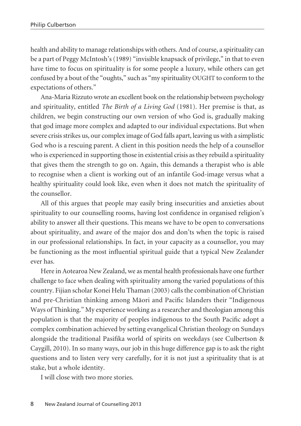health and ability to manage relationships with others. And of course, a spirituality can be a part of Peggy McIntosh's (1989) "invisible knapsack of privilege," in that to even have time to focus on spirituality is for some people a luxury, while others can get confused by a bout of the "oughts," such as "my spirituality OUGHT to conform to the expectations of others."

Ana-Maria Rizzuto wrote an excellent book on the relationship between psychology and spirituality, entitled *The Birth of a Living God* (1981). Her premise is that, as children, we begin constructing our own version of who God is, gradually making that god image more complex and adapted to our individual expectations. But when severe crisis strikes us, our complex image of God falls apart, leaving us with a simplistic God who is a rescuing parent. A client in this position needs the help of a counsellor who is experienced in supporting those in existential crisis as they rebuild a spirituality that gives them the strength to go on. Again, this demands a therapist who is able to recognise when a client is working out of an infantile God-image versus what a healthy spirituality could look like, even when it does not match the spirituality of the counsellor.

All of this argues that people may easily bring insecurities and anxieties about spirituality to our counselling rooms, having lost confidence in organised religion's ability to answer all their questions. This means we have to be open to conversations about spirituality, and aware of the major dos and don'ts when the topic is raised in our professional relationships. In fact, in your capacity as a counsellor, you may be functioning as the most influential spiritual guide that a typical New Zealander ever has.

Here in Aotearoa New Zealand, we as mental health professionals have one further challenge to face when dealing with spirituality among the varied populations of this country. Fijian scholar Konei Helu Thaman (2003) calls the combination of Christian and pre-Christian thinking among Mäori and Pacific Islanders their "Indigenous Ways of Thinking." My experience working as a researcher and theologian among this population is that the majority of peoples indigenous to the South Pacific adopt a complex combination achieved by setting evangelical Christian theology on Sundays alongside the traditional Pasifika world of spirits on weekdays (see Culbertson & Caygill, 2010). In so many ways, our job in this huge difference gap is to ask the right questions and to listen very very carefully, for it is not just a spirituality that is at stake, but a whole identity.

I will close with two more stories.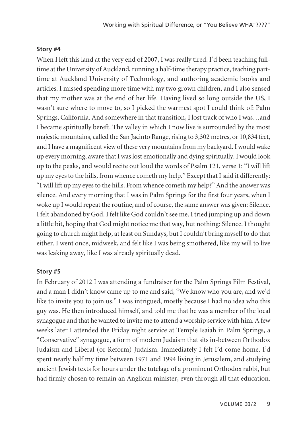## **Story #4**

When I left this land at the very end of 2007, I was really tired. I'd been teaching fulltime at the University of Auckland, running a half-time therapy practice, teaching parttime at Auckland University of Technology, and authoring academic books and articles. I missed spending more time with my two grown children, and I also sensed that my mother was at the end of her life. Having lived so long outside the US, I wasn't sure where to move to, so I picked the warmest spot I could think of: Palm Springs, California. And somewhere in that transition, I lost track of who I was…and I became spiritually bereft. The valley in which I now live is surrounded by the most majestic mountains, called the San Jacinto Range, rising to 3,302 metres, or 10,834 feet, and I have a magnificent view of these very mountains from my backyard. I would wake up every morning, aware that I was lost emotionally and dying spiritually. I would look up to the peaks, and would recite out loud the words of Psalm 121, verse 1: "I will lift up my eyes to the hills, from whence cometh my help." Except that I said it differently: "I will lift up my eyes to the hills. From whence cometh my help?" And the answer was silence. And every morning that I was in Palm Springs for the first four years, when I woke up I would repeat the routine, and of course, the same answer was given: Silence. I felt abandoned by God. I felt like God couldn't see me. I tried jumping up and down a little bit, hoping that God might notice me that way, but nothing: Silence. I thought going to church might help, at least on Sundays, but I couldn't bring myself to do that either. I went once, midweek, and felt like I was being smothered, like my will to live was leaking away, like I was already spiritually dead.

# **Story #5**

In February of 2012 I was attending a fundraiser for the Palm Springs Film Festival, and a man I didn't know came up to me and said, "We know who you are, and we'd like to invite you to join us." I was intrigued, mostly because I had no idea who this guy was. He then introduced himself, and told me that he was a member of the local synagogue and that he wanted to invite me to attend a worship service with him. A few weeks later I attended the Friday night service at Temple Isaiah in Palm Springs, a "Conservative" synagogue, a form of modern Judaism that sits in-between Orthodox Judaism and Liberal (or Reform) Judaism. Immediately I felt I'd come home. I'd spent nearly half my time between 1971 and 1994 living in Jerusalem, and studying ancient Jewish texts for hours under the tutelage of a prominent Orthodox rabbi, but had firmly chosen to remain an Anglican minister, even through all that education.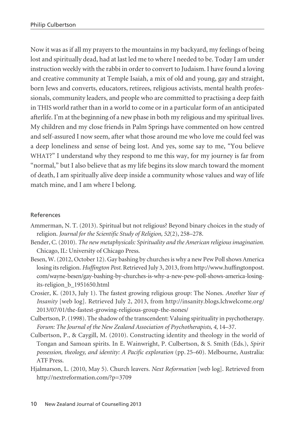Now it was as if all my prayers to the mountains in my backyard, my feelings of being lost and spiritually dead, had at last led me to where I needed to be. Today I am under instruction weekly with the rabbi in order to convert to Judaism. I have found a loving and creative community at Temple Isaiah, a mix of old and young, gay and straight, born Jews and converts, educators, retirees, religious activists, mental health profes sionals, community leaders, and people who are committed to practising a deep faith in THIS world rather than in a world to come or in a particular form of an anticipated afterlife. I'm at the beginning of a new phase in both my religious and my spiritual lives. My children and my close friends in Palm Springs have commented on how centred and self-assured I now seem, after what those around me who love me could feel was a deep loneliness and sense of being lost. And yes, some say to me, "You believe WHAT?" I understand why they respond to me this way, for my journey is far from "normal," but I also believe that as my life begins its slow march toward the moment of death, I am spiritually alive deep inside a community whose values and way of life match mine, and I am where I belong.

# References

- Ammerman, N. T. (2013). Spiritual but not religious? Beyond binary choices in the study of religion. *Journal for the Scientific Study of Religion, 52*(2), 258–278.
- Bender, C. (2010). *The new metaphysicals: Spirituality and the American religious imagination.* Chicago, IL: University of Chicago Press.
- Besen, W. (2012, October 12). Gay bashing by churches is why a new Pew Poll shows America losing its religion. *Huffington Post.* Retrieved July 3, 2013, from http://www.huffingtonpost. com/wayne-besen/gay-bashing-by-churches-is-why-a-new-pew-poll-shows-america-losingits-religion\_b\_1951650.html
- Crosier, K. (2013, July 1). The fastest growing religious group: The Nones. *Another Year of Insanity* [web log]. Retrieved July 2, 2013, from http://insanity.blogs.lchwelcome.org/ 2013/07/01/the-fastest-growing-religious-group-the-nones/
- Culbertson, P. (1998). The shadow of the transcendent: Valuing spirituality in psychotherapy. *Forum: The Journal of the New Zealand Association of Psychotherapists, 4*, 14–37.
- Culbertson, P., & Caygill, M. (2010). Constructing identity and theology in the world of Tongan and Samoan spirits. In E. Wainwright, P. Culbertson, & S. Smith (Eds.), *Spirit possession, theology, and identity: A Pacific exploration* (pp. 25–60). Melbourne, Australia: ATF Press.
- Hjalmarson, L. (2010, May 5). Church leavers. *Next Reformation* [web log]. Retrieved from http://nextreformation.com/?p=3709